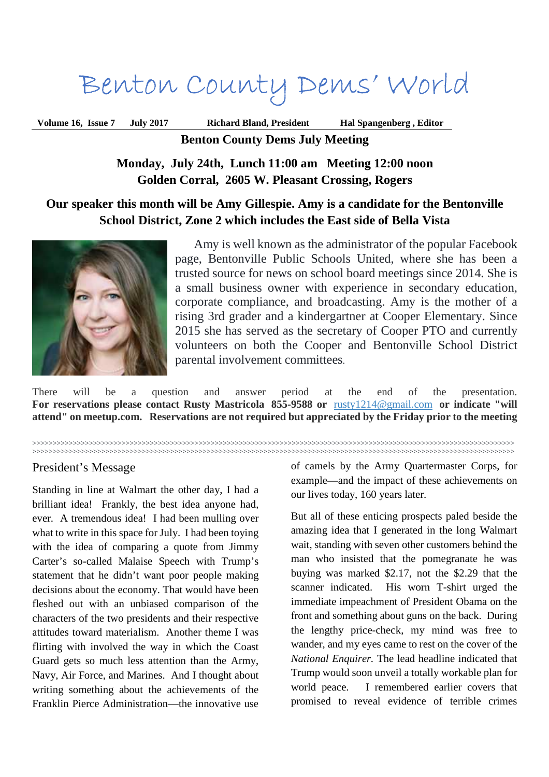# Benton County Dems' World

**Volume 16, Issue 7 July 2017 Richard Bland, President Hal Spangenberg , Editor**

**Benton County Dems July Meeting** 

**Monday, July 24th, Lunch 11:00 am Meeting 12:00 noon Golden Corral, 2605 W. Pleasant Crossing, Rogers** 

## **Our speaker this month will be Amy Gillespie. Amy is a candidate for the Bentonville School District, Zone 2 which includes the East side of Bella Vista**



Amy is well known as the administrator of the popular Facebook page, Bentonville Public Schools United, where she has been a trusted source for news on school board meetings since 2014. She is a small business owner with experience in secondary education, corporate compliance, and broadcasting. Amy is the mother of a rising 3rd grader and a kindergartner at Cooper Elementary. Since 2015 she has served as the secretary of Cooper PTO and currently volunteers on both the Cooper and Bentonville School District parental involvement committees.

There will be a question and answer period at the end of the presentation. **For reservations please contact Rusty Mastricola 855-9588 or** rusty1214@gmail.com **or indicate "will attend" on meetup.com. Reservations are not required but appreciated by the Friday prior to the meeting**

>>>>>>>>>>>>>>>>>>>>>>>>>>>>>>>>>>>>>>>>>>>>>>>>>>>>>>>>>>>>>>>>>>>>>>>>>>>>>>>>>>>>>>>>>>>>>>>>>>>>>>>>>>>>>>>>>>>>>>> >>>>>>>>>>>>>>>>>>>>>>>>>>>>>>>>>>>>>>>>>>>>>>>>>>>>>>>>>>>>>>>>>>>>>>>>>>>>>>>>>>>>>>>>>>>>>>>>>>>>>>>>>>>>>>>>>>>>>>>

### President's Message

Standing in line at Walmart the other day, I had a brilliant idea! Frankly, the best idea anyone had, ever. A tremendous idea! I had been mulling over what to write in this space for July. I had been toying with the idea of comparing a quote from Jimmy Carter's so-called Malaise Speech with Trump's statement that he didn't want poor people making decisions about the economy. That would have been fleshed out with an unbiased comparison of the characters of the two presidents and their respective attitudes toward materialism. Another theme I was flirting with involved the way in which the Coast Guard gets so much less attention than the Army, Navy, Air Force, and Marines. And I thought about writing something about the achievements of the Franklin Pierce Administration—the innovative use

of camels by the Army Quartermaster Corps, for example—and the impact of these achievements on our lives today, 160 years later.

But all of these enticing prospects paled beside the amazing idea that I generated in the long Walmart wait, standing with seven other customers behind the man who insisted that the pomegranate he was buying was marked \$2.17, not the \$2.29 that the scanner indicated. His worn T-shirt urged the immediate impeachment of President Obama on the front and something about guns on the back. During the lengthy price-check, my mind was free to wander, and my eyes came to rest on the cover of the *National Enquirer.* The lead headline indicated that Trump would soon unveil a totally workable plan for world peace. I remembered earlier covers that promised to reveal evidence of terrible crimes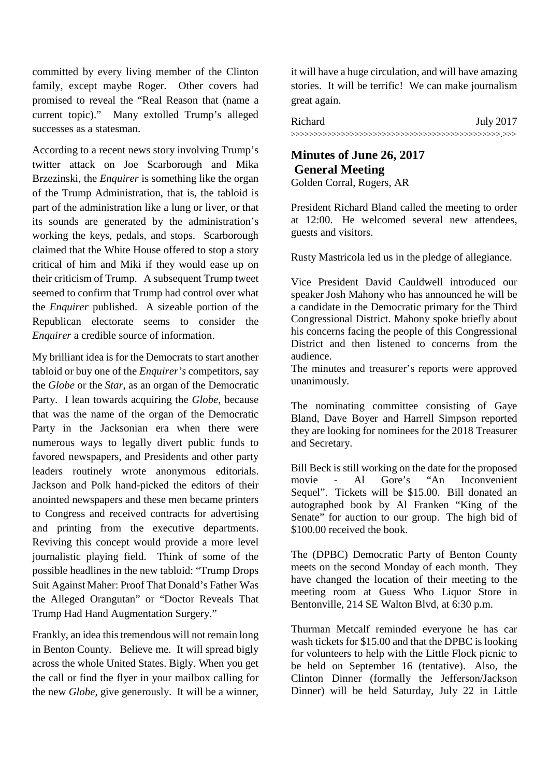committed by every living member of the Clinton family, except maybe Roger. Other covers had promised to reveal the "Real Reason that (name a current topic)." Many extolled Trump's alleged successes as a statesman.

According to a recent news story involving Trump's twitter attack on Joe Scarborough and Mika Brzezinski, the *Enquirer* is something like the organ of the Trump Administration, that is, the tabloid is part of the administration like a lung or liver, or that its sounds are generated by the administration's working the keys, pedals, and stops. Scarborough claimed that the White House offered to stop a story critical of him and Miki if they would ease up on their criticism of Trump. A subsequent Trump tweet seemed to confirm that Trump had control over what the *Enquirer* published. A sizeable portion of the Republican electorate seems to consider the *Enquirer* a credible source of information.

My brilliant idea is for the Democrats to start another tabloid or buy one of the *Enquirer's* competitors, say the *Globe* or the *Star*, as an organ of the Democratic Party. I lean towards acquiring the *Globe*, because that was the name of the organ of the Democratic Party in the Jacksonian era when there were numerous ways to legally divert public funds to favored newspapers, and Presidents and other party leaders routinely wrote anonymous editorials. Jackson and Polk hand-picked the editors of their anointed newspapers and these men became printers to Congress and received contracts for advertising and printing from the executive departments. Reviving this concept would provide a more level journalistic playing field. Think of some of the possible headlines in the new tabloid: "Trump Drops Suit Against Maher: Proof That Donald's Father Was the Alleged Orangutan" or "Doctor Reveals That Trump Had Hand Augmentation Surgery."

Frankly, an idea this tremendous will not remain long in Benton County. Believe me. It will spread bigly across the whole United States. Bigly. When you get the call or find the flyer in your mailbox calling for the new *Globe*, give generously. It will be a winner, it will have a huge circulation, and will have amazing stories. It will be terrific! We can make journalism great again.

| Richard | <b>July 2017</b> |
|---------|------------------|
|         |                  |

## **Minutes of June 26, 2017 General Meeting**  Golden Corral, Rogers, AR

President Richard Bland called the meeting to order at 12:00. He welcomed several new attendees, guests and visitors.

Rusty Mastricola led us in the pledge of allegiance.

Vice President David Cauldwell introduced our speaker Josh Mahony who has announced he will be a candidate in the Democratic primary for the Third Congressional District. Mahony spoke briefly about his concerns facing the people of this Congressional District and then listened to concerns from the audience.

The minutes and treasurer's reports were approved unanimously.

The nominating committee consisting of Gaye Bland, Dave Boyer and Harrell Simpson reported they are looking for nominees for the 2018 Treasurer and Secretary.

Bill Beck is still working on the date for the proposed movie - Al Gore's "An Inconvenient Sequel". Tickets will be \$15.00. Bill donated an autographed book by Al Franken "King of the Senate" for auction to our group. The high bid of \$100.00 received the book.

The (DPBC) Democratic Party of Benton County meets on the second Monday of each month. They have changed the location of their meeting to the meeting room at Guess Who Liquor Store in Bentonville, 214 SE Walton Blvd, at 6:30 p.m.

Thurman Metcalf reminded everyone he has car wash tickets for \$15.00 and that the DPBC is looking for volunteers to help with the Little Flock picnic to be held on September 16 (tentative). Also, the Clinton Dinner (formally the Jefferson/Jackson Dinner) will be held Saturday, July 22 in Little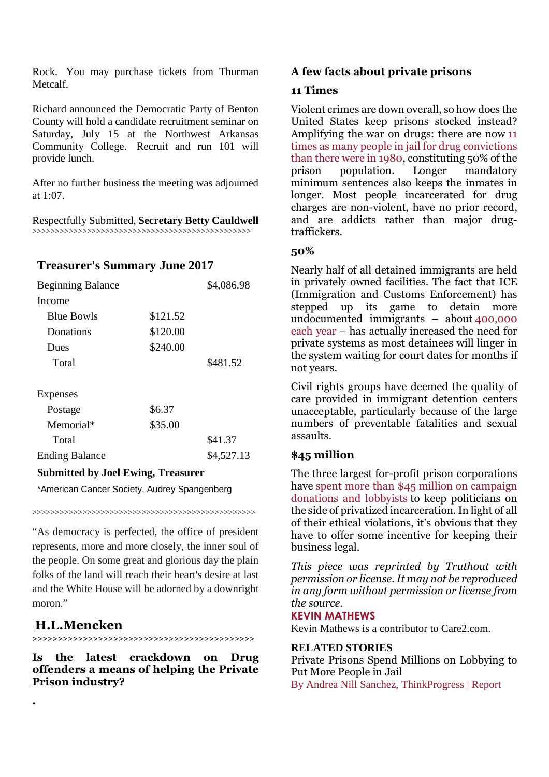Rock. You may purchase tickets from Thurman Metcalf.

Richard announced the Democratic Party of Benton County will hold a candidate recruitment seminar on Saturday, July 15 at the Northwest Arkansas Community College. Recruit and run 101 will provide lunch.

After no further business the meeting was adjourned at 1:07.

Respectfully Submitted, **Secretary Betty Cauldwell** >>>>>>>>>>>>>>>>>>>>>>>>>>>>>>>>>>>>>>>>>>>>>>>>

## **Treasurer's Summary June 2017**

| <b>Beginning Balance</b> |          | \$4,086.98 |
|--------------------------|----------|------------|
| Income                   |          |            |
| <b>Blue Bowls</b>        | \$121.52 |            |
| Donations                | \$120.00 |            |
| Dues                     | \$240.00 |            |
| Total                    |          | \$481.52   |
|                          |          |            |
| <b>Expenses</b>          |          |            |
| Postage                  | \$6.37   |            |
| Memorial*                | \$35.00  |            |
| Total                    |          | \$41.37    |
| <b>Ending Balance</b>    |          | \$4,527.13 |

### **Submitted by Joel Ewing, Treasurer**

\*American Cancer Society, Audrey Spangenberg

>>>>>>>>>>>>>>>>>>>>>>>>>>>>>>>>>>>>>>>>>>>>>>>>>

"As democracy is perfected, the office of president represents, more and more closely, the inner soul of the people. On some great and glorious day the plain folks of the land will reach their heart's desire at last and the White House will be adorned by a downright moron."

# **H.L.Mencken**

**.** 

**>>>>>>>>>>>>>>>>>>>>>>>>>>>>>>>>>>>>>>>>>>>>**

**Is the latest crackdown on Drug offenders a means of helping the Private Prison industry?** 

### **A few facts about private prisons**

#### **11 Times**

Violent crimes are down overall, so how does the United States keep prisons stocked instead? Amplifying the war on drugs: there are now 11 times as many people in jail for drug convictions than there were in 1980, constituting 50% of the prison population. Longer mandatory minimum sentences also keeps the inmates in longer. Most people incarcerated for drug charges are non-violent, have no prior record, and are addicts rather than major drugtraffickers.

### **50%**

Nearly half of all detained immigrants are held in privately owned facilities. The fact that ICE (Immigration and Customs Enforcement) has stepped up its game to detain more undocumented immigrants – about 400,000 each year – has actually increased the need for private systems as most detainees will linger in the system waiting for court dates for months if not years.

Civil rights groups have deemed the quality of care provided in immigrant detention centers unacceptable, particularly because of the large numbers of preventable fatalities and sexual assaults.

### **\$45 million**

The three largest for-profit prison corporations have spent more than \$45 million on campaign donations and lobbyists to keep politicians on the side of privatized incarceration. In light of all of their ethical violations, it's obvious that they have to offer some incentive for keeping their business legal.

*This piece was reprinted by Truthout with permission or license. It may not be reproduced in any form without permission or license from the source.* 

#### **KEVIN MATHEWS**

Kevin Mathews is a contributor to Care2.com.

#### **RELATED STORIES**

Private Prisons Spend Millions on Lobbying to Put More People in Jail By Andrea Nill Sanchez, ThinkProgress | Report